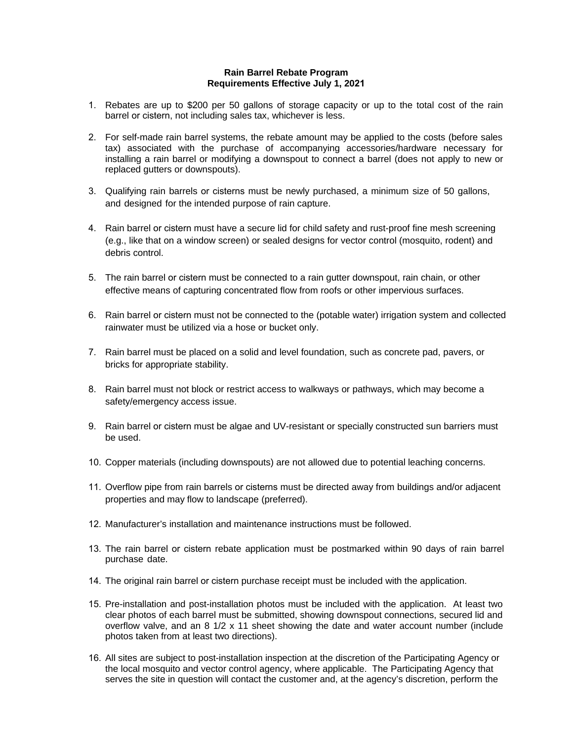## **Rain Barrel Rebate Program Requirements Effective July 1, 2021**

- 1. Rebates are up to \$200 per 50 gallons of storage capacity or up to the total cost of the rain barrel or cistern, not including sales tax, whichever is less.
- 2. For self-made rain barrel systems, the rebate amount may be applied to the costs (before sales tax) associated with the purchase of accompanying accessories/hardware necessary for installing a rain barrel or modifying a downspout to connect a barrel (does not apply to new or replaced gutters or downspouts).
- 3. Qualifying rain barrels or cisterns must be newly purchased, a minimum size of 50 gallons, and designed for the intended purpose of rain capture.
- 4. Rain barrel or cistern must have a secure lid for child safety and rust-proof fine mesh screening (e.g., like that on a window screen) or sealed designs for vector control (mosquito, rodent) and debris control.
- 5. The rain barrel or cistern must be connected to a rain gutter downspout, rain chain, or other effective means of capturing concentrated flow from roofs or other impervious surfaces.
- 6. Rain barrel or cistern must not be connected to the (potable water) irrigation system and collected rainwater must be utilized via a hose or bucket only.
- 7. Rain barrel must be placed on a solid and level foundation, such as concrete pad, pavers, or bricks for appropriate stability.
- 8. Rain barrel must not block or restrict access to walkways or pathways, which may become a safety/emergency access issue.
- 9. Rain barrel or cistern must be algae and UV-resistant or specially constructed sun barriers must be used.
- 10. Copper materials (including downspouts) are not allowed due to potential leaching concerns.
- 11. Overflow pipe from rain barrels or cisterns must be directed away from buildings and/or adjacent properties and may flow to landscape (preferred).
- 12. Manufacturer's installation and maintenance instructions must be followed.
- 13. The rain barrel or cistern rebate application must be postmarked within 90 days of rain barrel purchase date.
- 14. The original rain barrel or cistern purchase receipt must be included with the application.
- 15. Pre-installation and post-installation photos must be included with the application. At least two clear photos of each barrel must be submitted, showing downspout connections, secured lid and overflow valve, and an 8 1/2 x 11 sheet showing the date and water account number (include photos taken from at least two directions).
- 16. All sites are subject to post-installation inspection at the discretion of the Participating Agency or the local mosquito and vector control agency, where applicable. The Participating Agency that serves the site in question will contact the customer and, at the agency's discretion, perform the